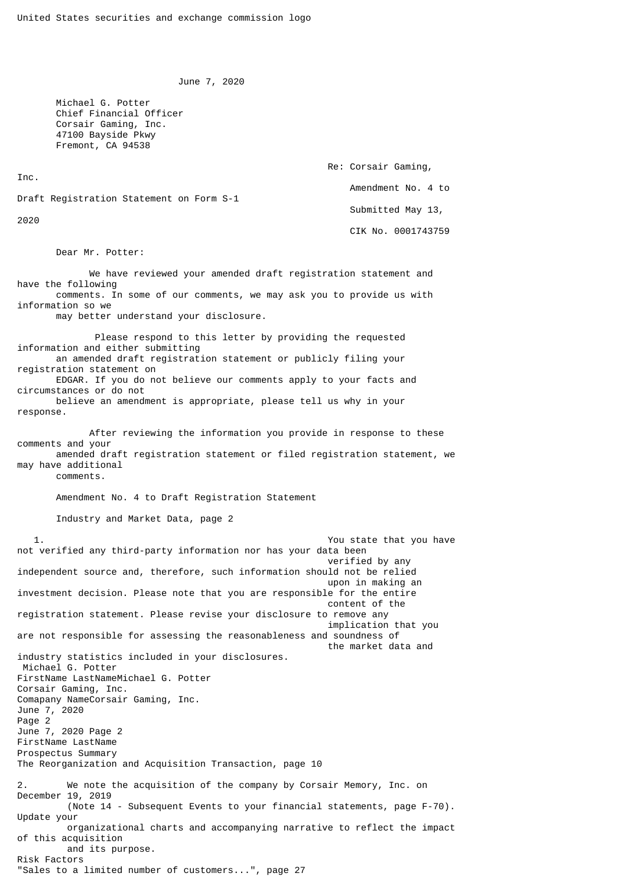June 7, 2020

 Michael G. Potter Chief Financial Officer Corsair Gaming, Inc. 47100 Bayside Pkwy Fremont, CA 94538

> Re: Corsair Gaming, Amendment No. 4 to Submitted May 13, CIK No. 0001743759

Draft Registration Statement on Form S-1

2020

Inc.

Dear Mr. Potter:

 We have reviewed your amended draft registration statement and have the following comments. In some of our comments, we may ask you to provide us with information so we may better understand your disclosure.

 Please respond to this letter by providing the requested information and either submitting an amended draft registration statement or publicly filing your registration statement on EDGAR. If you do not believe our comments apply to your facts and circumstances or do not believe an amendment is appropriate, please tell us why in your

response.

 After reviewing the information you provide in response to these comments and your amended draft registration statement or filed registration statement, we may have additional

comments.

Amendment No. 4 to Draft Registration Statement

Industry and Market Data, page 2

 1. You state that you have not verified any third-party information nor has your data been verified by any independent source and, therefore, such information should not be relied upon in making an investment decision. Please note that you are responsible for the entire content of the registration statement. Please revise your disclosure to remove any implication that you are not responsible for assessing the reasonableness and soundness of the market data and industry statistics included in your disclosures. Michael G. Potter FirstName LastNameMichael G. Potter Corsair Gaming, Inc. Comapany NameCorsair Gaming, Inc. June 7, 2020 Page 2 June 7, 2020 Page 2 FirstName LastName Prospectus Summary The Reorganization and Acquisition Transaction, page 10 We note the acquisition of the company by Corsair Memory, Inc. on December 19, 2019 (Note 14 - Subsequent Events to your financial statements, page F-70). Update your organizational charts and accompanying narrative to reflect the impact of this acquisition and its purpose. Risk Factors "Sales to a limited number of customers...", page 27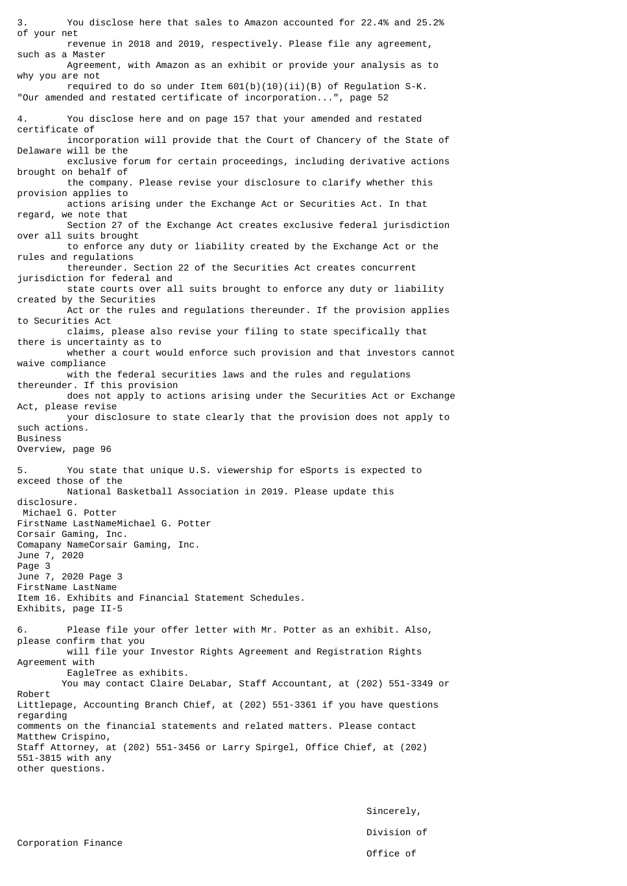3. You disclose here that sales to Amazon accounted for 22.4% and 25.2% of your net revenue in 2018 and 2019, respectively. Please file any agreement, such as a Master Agreement, with Amazon as an exhibit or provide your analysis as to why you are not required to do so under Item  $601(b)(10)(ii)(B)$  of Regulation S-K. "Our amended and restated certificate of incorporation...", page 52 4. You disclose here and on page 157 that your amended and restated certificate of incorporation will provide that the Court of Chancery of the State of Delaware will be the exclusive forum for certain proceedings, including derivative actions brought on behalf of the company. Please revise your disclosure to clarify whether this provision applies to actions arising under the Exchange Act or Securities Act. In that regard, we note that Section 27 of the Exchange Act creates exclusive federal jurisdiction over all suits brought to enforce any duty or liability created by the Exchange Act or the rules and regulations thereunder. Section 22 of the Securities Act creates concurrent jurisdiction for federal and state courts over all suits brought to enforce any duty or liability created by the Securities Act or the rules and regulations thereunder. If the provision applies to Securities Act claims, please also revise your filing to state specifically that there is uncertainty as to whether a court would enforce such provision and that investors cannot waive compliance with the federal securities laws and the rules and regulations thereunder. If this provision does not apply to actions arising under the Securities Act or Exchange Act, please revise your disclosure to state clearly that the provision does not apply to such actions. Business Overview, page 96 5. You state that unique U.S. viewership for eSports is expected to exceed those of the National Basketball Association in 2019. Please update this disclosure. Michael G. Potter FirstName LastNameMichael G. Potter Corsair Gaming, Inc. Comapany NameCorsair Gaming, Inc. June 7, 2020 Page 3 June 7, 2020 Page 3 FirstName LastName Item 16. Exhibits and Financial Statement Schedules. Exhibits, page II-5 6. Please file your offer letter with Mr. Potter as an exhibit. Also, please confirm that you will file your Investor Rights Agreement and Registration Rights Agreement with EagleTree as exhibits. You may contact Claire DeLabar, Staff Accountant, at (202) 551-3349 or Robert Littlepage, Accounting Branch Chief, at (202) 551-3361 if you have questions regarding comments on the financial statements and related matters. Please contact Matthew Crispino, Staff Attorney, at (202) 551-3456 or Larry Spirgel, Office Chief, at (202) 551-3815 with any other questions.

> Sincerely, Division of Office of